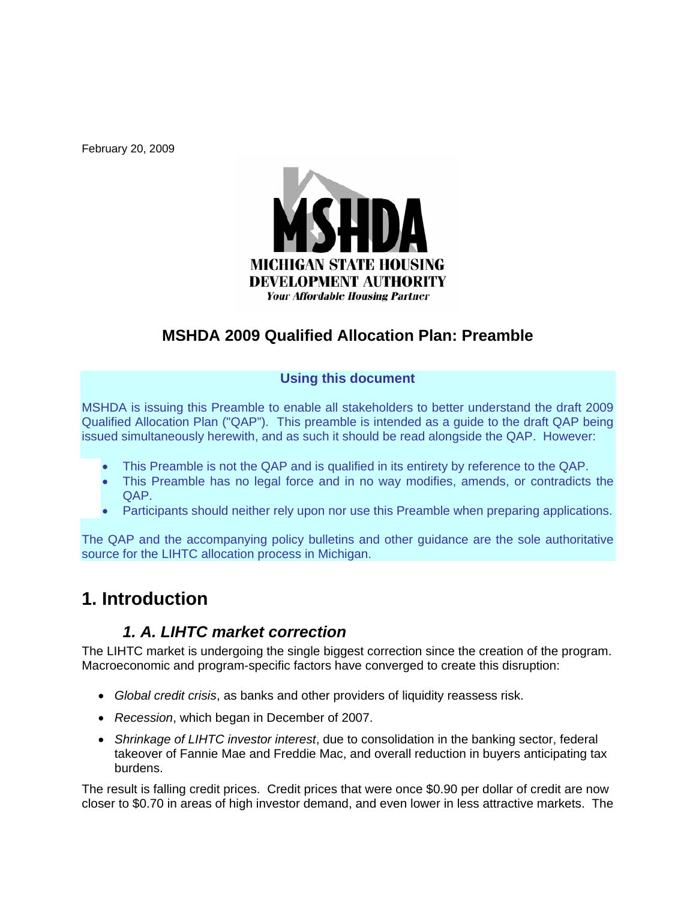February 20, 2009



## **MSHDA 2009 Qualified Allocation Plan: Preamble**

#### **Using this document**

MSHDA is issuing this Preamble to enable all stakeholders to better understand the draft 2009 Qualified Allocation Plan ("QAP"). This preamble is intended as a guide to the draft QAP being issued simultaneously herewith, and as such it should be read alongside the QAP. However:

- This Preamble is not the QAP and is qualified in its entirety by reference to the QAP.
- This Preamble has no legal force and in no way modifies, amends, or contradicts the QAP.
- Participants should neither rely upon nor use this Preamble when preparing applications.

The QAP and the accompanying policy bulletins and other guidance are the sole authoritative source for the LIHTC allocation process in Michigan.

# **1. Introduction**

### *1. A. LIHTC market correction*

The LIHTC market is undergoing the single biggest correction since the creation of the program. Macroeconomic and program-specific factors have converged to create this disruption:

- *Global credit crisis*, as banks and other providers of liquidity reassess risk.
- *Recession*, which began in December of 2007.
- *Shrinkage of LIHTC investor interest*, due to consolidation in the banking sector, federal takeover of Fannie Mae and Freddie Mac, and overall reduction in buyers anticipating tax burdens.

The result is falling credit prices. Credit prices that were once \$0.90 per dollar of credit are now closer to \$0.70 in areas of high investor demand, and even lower in less attractive markets. The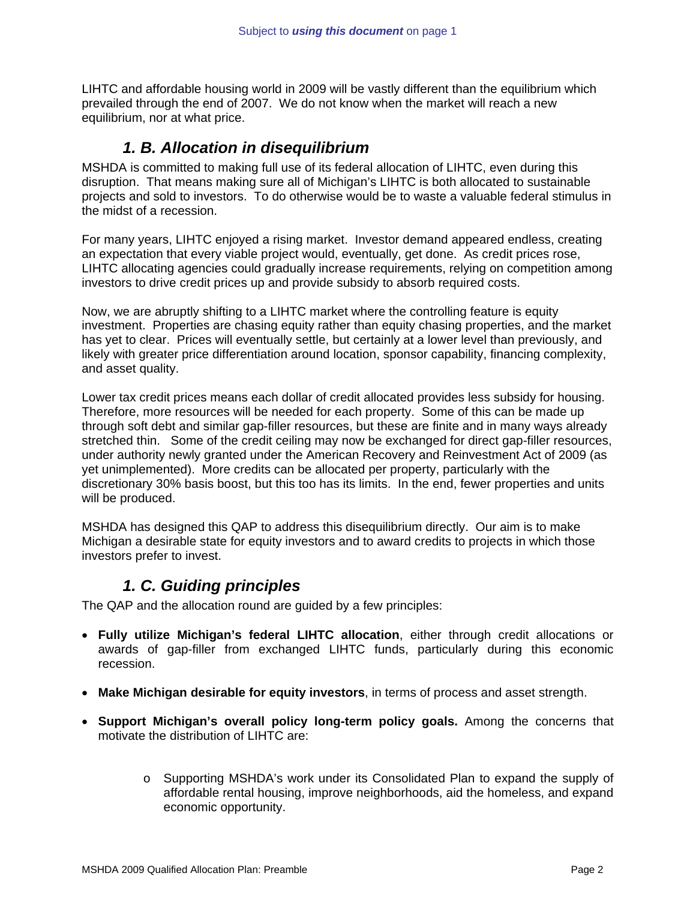LIHTC and affordable housing world in 2009 will be vastly different than the equilibrium which prevailed through the end of 2007. We do not know when the market will reach a new equilibrium, nor at what price.

#### *1. B. Allocation in disequilibrium*

MSHDA is committed to making full use of its federal allocation of LIHTC, even during this disruption. That means making sure all of Michigan's LIHTC is both allocated to sustainable projects and sold to investors. To do otherwise would be to waste a valuable federal stimulus in the midst of a recession.

For many years, LIHTC enjoyed a rising market. Investor demand appeared endless, creating an expectation that every viable project would, eventually, get done. As credit prices rose, LIHTC allocating agencies could gradually increase requirements, relying on competition among investors to drive credit prices up and provide subsidy to absorb required costs.

Now, we are abruptly shifting to a LIHTC market where the controlling feature is equity investment. Properties are chasing equity rather than equity chasing properties, and the market has yet to clear. Prices will eventually settle, but certainly at a lower level than previously, and likely with greater price differentiation around location, sponsor capability, financing complexity, and asset quality.

Lower tax credit prices means each dollar of credit allocated provides less subsidy for housing. Therefore, more resources will be needed for each property. Some of this can be made up through soft debt and similar gap-filler resources, but these are finite and in many ways already stretched thin. Some of the credit ceiling may now be exchanged for direct gap-filler resources, under authority newly granted under the American Recovery and Reinvestment Act of 2009 (as yet unimplemented). More credits can be allocated per property, particularly with the discretionary 30% basis boost, but this too has its limits. In the end, fewer properties and units will be produced.

MSHDA has designed this QAP to address this disequilibrium directly. Our aim is to make Michigan a desirable state for equity investors and to award credits to projects in which those investors prefer to invest.

### *1. C. Guiding principles*

The QAP and the allocation round are guided by a few principles:

- **Fully utilize Michigan's federal LIHTC allocation**, either through credit allocations or awards of gap-filler from exchanged LIHTC funds, particularly during this economic recession.
- **Make Michigan desirable for equity investors**, in terms of process and asset strength.
- **Support Michigan's overall policy long-term policy goals.** Among the concerns that motivate the distribution of LIHTC are:
	- o Supporting MSHDA's work under its Consolidated Plan to expand the supply of affordable rental housing, improve neighborhoods, aid the homeless, and expand economic opportunity.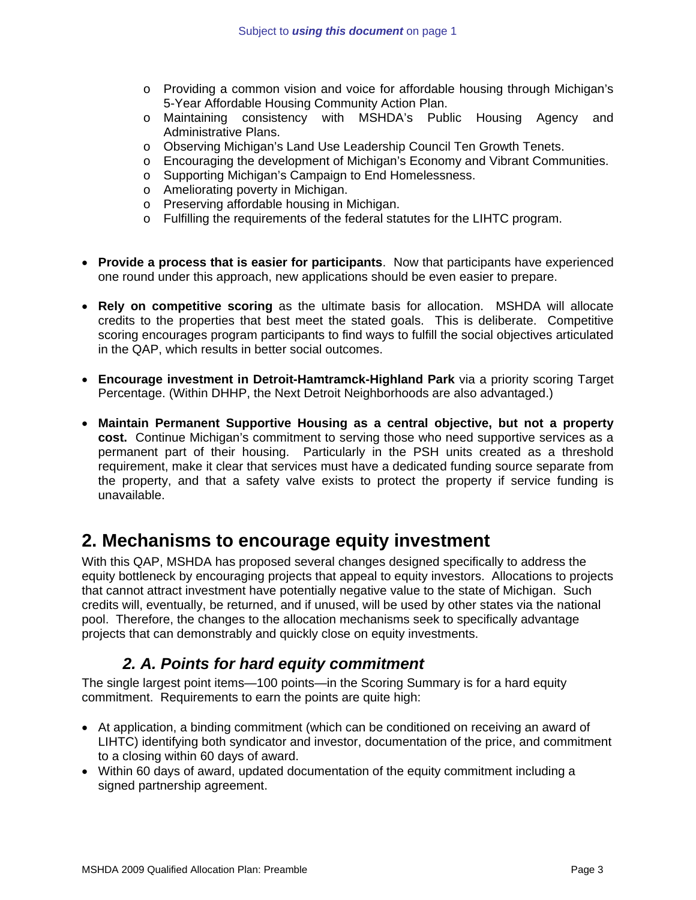- o Providing a common vision and voice for affordable housing through Michigan's 5-Year Affordable Housing Community Action Plan.
- o Maintaining consistency with MSHDA's Public Housing Agency and Administrative Plans.
- o Observing Michigan's Land Use Leadership Council Ten Growth Tenets.
- o Encouraging the development of Michigan's Economy and Vibrant Communities.
- o Supporting Michigan's Campaign to End Homelessness.
- o Ameliorating poverty in Michigan.
- o Preserving affordable housing in Michigan.
- o Fulfilling the requirements of the federal statutes for the LIHTC program.
- **Provide a process that is easier for participants**. Now that participants have experienced one round under this approach, new applications should be even easier to prepare.
- **Rely on competitive scoring** as the ultimate basis for allocation. MSHDA will allocate credits to the properties that best meet the stated goals. This is deliberate. Competitive scoring encourages program participants to find ways to fulfill the social objectives articulated in the QAP, which results in better social outcomes.
- **Encourage investment in Detroit-Hamtramck-Highland Park** via a priority scoring Target Percentage. (Within DHHP, the Next Detroit Neighborhoods are also advantaged.)
- **Maintain Permanent Supportive Housing as a central objective, but not a property cost.** Continue Michigan's commitment to serving those who need supportive services as a permanent part of their housing. Particularly in the PSH units created as a threshold requirement, make it clear that services must have a dedicated funding source separate from the property, and that a safety valve exists to protect the property if service funding is unavailable.

## **2. Mechanisms to encourage equity investment**

With this QAP, MSHDA has proposed several changes designed specifically to address the equity bottleneck by encouraging projects that appeal to equity investors. Allocations to projects that cannot attract investment have potentially negative value to the state of Michigan. Such credits will, eventually, be returned, and if unused, will be used by other states via the national pool. Therefore, the changes to the allocation mechanisms seek to specifically advantage projects that can demonstrably and quickly close on equity investments.

### *2. A. Points for hard equity commitment*

The single largest point items—100 points—in the Scoring Summary is for a hard equity commitment. Requirements to earn the points are quite high:

- At application, a binding commitment (which can be conditioned on receiving an award of LIHTC) identifying both syndicator and investor, documentation of the price, and commitment to a closing within 60 days of award.
- Within 60 days of award, updated documentation of the equity commitment including a signed partnership agreement.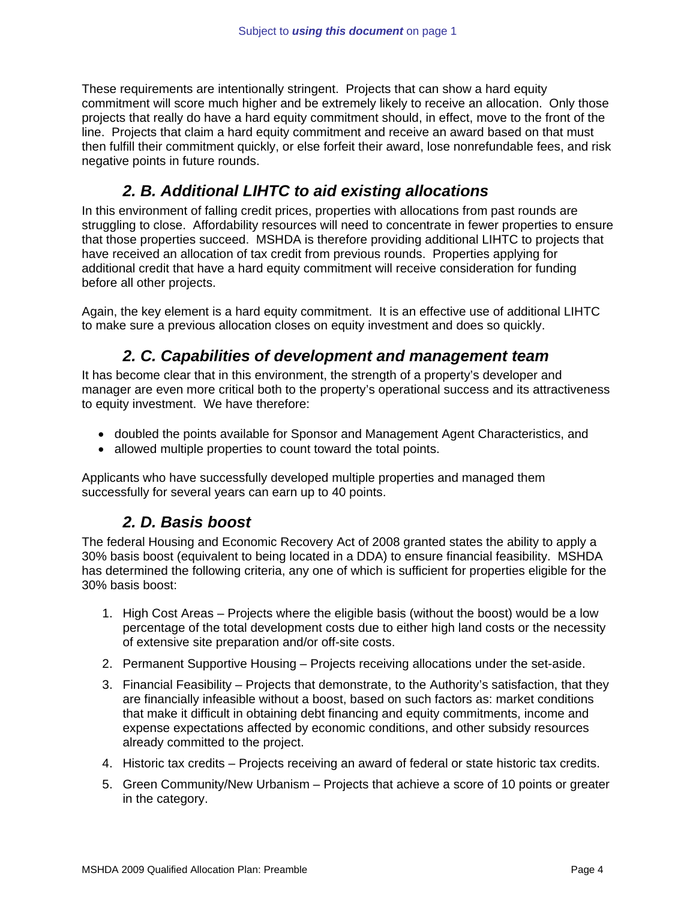These requirements are intentionally stringent. Projects that can show a hard equity commitment will score much higher and be extremely likely to receive an allocation. Only those projects that really do have a hard equity commitment should, in effect, move to the front of the line. Projects that claim a hard equity commitment and receive an award based on that must then fulfill their commitment quickly, or else forfeit their award, lose nonrefundable fees, and risk negative points in future rounds.

### *2. B. Additional LIHTC to aid existing allocations*

In this environment of falling credit prices, properties with allocations from past rounds are struggling to close. Affordability resources will need to concentrate in fewer properties to ensure that those properties succeed. MSHDA is therefore providing additional LIHTC to projects that have received an allocation of tax credit from previous rounds. Properties applying for additional credit that have a hard equity commitment will receive consideration for funding before all other projects.

Again, the key element is a hard equity commitment. It is an effective use of additional LIHTC to make sure a previous allocation closes on equity investment and does so quickly.

## *2. C. Capabilities of development and management team*

It has become clear that in this environment, the strength of a property's developer and manager are even more critical both to the property's operational success and its attractiveness to equity investment. We have therefore:

- doubled the points available for Sponsor and Management Agent Characteristics, and
- allowed multiple properties to count toward the total points.

Applicants who have successfully developed multiple properties and managed them successfully for several years can earn up to 40 points.

### *2. D. Basis boost*

The federal Housing and Economic Recovery Act of 2008 granted states the ability to apply a 30% basis boost (equivalent to being located in a DDA) to ensure financial feasibility. MSHDA has determined the following criteria, any one of which is sufficient for properties eligible for the 30% basis boost:

- 1. High Cost Areas Projects where the eligible basis (without the boost) would be a low percentage of the total development costs due to either high land costs or the necessity of extensive site preparation and/or off-site costs.
- 2. Permanent Supportive Housing Projects receiving allocations under the set-aside.
- 3. Financial Feasibility Projects that demonstrate, to the Authority's satisfaction, that they are financially infeasible without a boost, based on such factors as: market conditions that make it difficult in obtaining debt financing and equity commitments, income and expense expectations affected by economic conditions, and other subsidy resources already committed to the project.
- 4. Historic tax credits Projects receiving an award of federal or state historic tax credits.
- 5. Green Community/New Urbanism Projects that achieve a score of 10 points or greater in the category.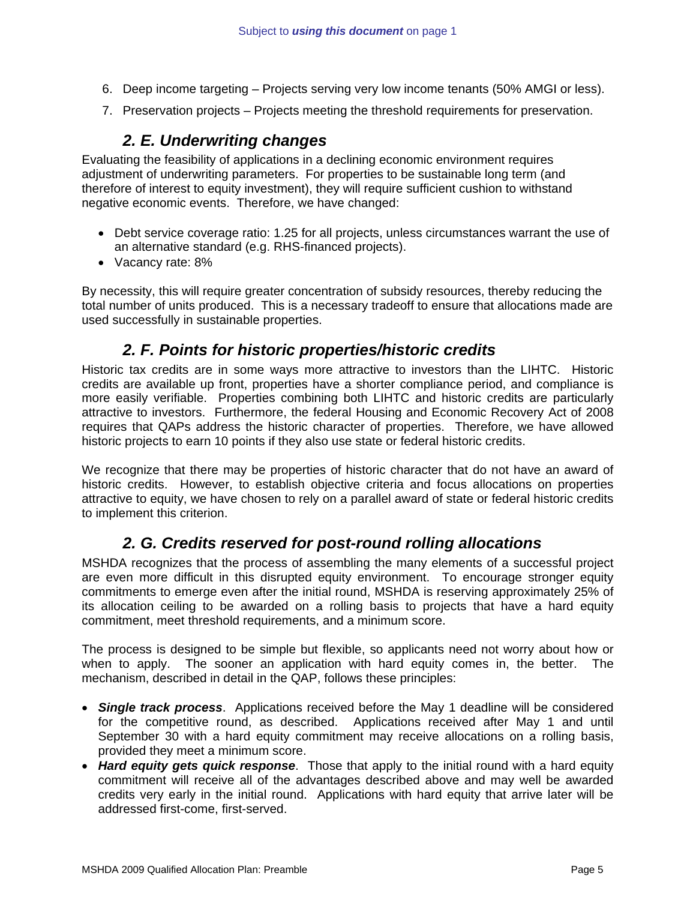- 6. Deep income targeting Projects serving very low income tenants (50% AMGI or less).
- 7. Preservation projects Projects meeting the threshold requirements for preservation.

### *2. E. Underwriting changes*

Evaluating the feasibility of applications in a declining economic environment requires adjustment of underwriting parameters. For properties to be sustainable long term (and therefore of interest to equity investment), they will require sufficient cushion to withstand negative economic events. Therefore, we have changed:

- Debt service coverage ratio: 1.25 for all projects, unless circumstances warrant the use of an alternative standard (e.g. RHS-financed projects).
- Vacancy rate: 8%

By necessity, this will require greater concentration of subsidy resources, thereby reducing the total number of units produced. This is a necessary tradeoff to ensure that allocations made are used successfully in sustainable properties.

#### *2. F. Points for historic properties/historic credits*

Historic tax credits are in some ways more attractive to investors than the LIHTC. Historic credits are available up front, properties have a shorter compliance period, and compliance is more easily verifiable. Properties combining both LIHTC and historic credits are particularly attractive to investors. Furthermore, the federal Housing and Economic Recovery Act of 2008 requires that QAPs address the historic character of properties. Therefore, we have allowed historic projects to earn 10 points if they also use state or federal historic credits.

We recognize that there may be properties of historic character that do not have an award of historic credits. However, to establish objective criteria and focus allocations on properties attractive to equity, we have chosen to rely on a parallel award of state or federal historic credits to implement this criterion.

#### *2. G. Credits reserved for post-round rolling allocations*

MSHDA recognizes that the process of assembling the many elements of a successful project are even more difficult in this disrupted equity environment. To encourage stronger equity commitments to emerge even after the initial round, MSHDA is reserving approximately 25% of its allocation ceiling to be awarded on a rolling basis to projects that have a hard equity commitment, meet threshold requirements, and a minimum score.

The process is designed to be simple but flexible, so applicants need not worry about how or when to apply. The sooner an application with hard equity comes in, the better. The mechanism, described in detail in the QAP, follows these principles:

- *Single track process*. Applications received before the May 1 deadline will be considered for the competitive round, as described. Applications received after May 1 and until September 30 with a hard equity commitment may receive allocations on a rolling basis, provided they meet a minimum score.
- *Hard equity gets quick response*. Those that apply to the initial round with a hard equity commitment will receive all of the advantages described above and may well be awarded credits very early in the initial round. Applications with hard equity that arrive later will be addressed first-come, first-served.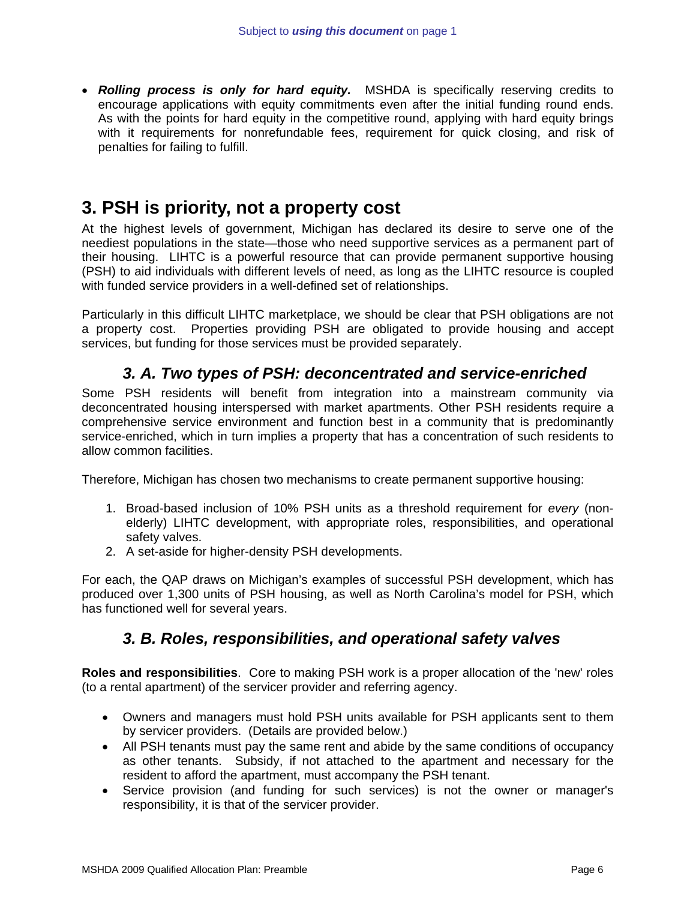• *Rolling process is only for hard equity.* MSHDA is specifically reserving credits to encourage applications with equity commitments even after the initial funding round ends. As with the points for hard equity in the competitive round, applying with hard equity brings with it requirements for nonrefundable fees, requirement for quick closing, and risk of penalties for failing to fulfill.

## **3. PSH is priority, not a property cost**

At the highest levels of government, Michigan has declared its desire to serve one of the neediest populations in the state—those who need supportive services as a permanent part of their housing. LIHTC is a powerful resource that can provide permanent supportive housing (PSH) to aid individuals with different levels of need, as long as the LIHTC resource is coupled with funded service providers in a well-defined set of relationships.

Particularly in this difficult LIHTC marketplace, we should be clear that PSH obligations are not a property cost. Properties providing PSH are obligated to provide housing and accept services, but funding for those services must be provided separately.

#### *3. A. Two types of PSH: deconcentrated and service-enriched*

Some PSH residents will benefit from integration into a mainstream community via deconcentrated housing interspersed with market apartments. Other PSH residents require a comprehensive service environment and function best in a community that is predominantly service-enriched, which in turn implies a property that has a concentration of such residents to allow common facilities.

Therefore, Michigan has chosen two mechanisms to create permanent supportive housing:

- 1. Broad-based inclusion of 10% PSH units as a threshold requirement for *every* (nonelderly) LIHTC development, with appropriate roles, responsibilities, and operational safety valves.
- 2. A set-aside for higher-density PSH developments.

For each, the QAP draws on Michigan's examples of successful PSH development, which has produced over 1,300 units of PSH housing, as well as North Carolina's model for PSH, which has functioned well for several years.

#### *3. B. Roles, responsibilities, and operational safety valves*

**Roles and responsibilities**. Core to making PSH work is a proper allocation of the 'new' roles (to a rental apartment) of the servicer provider and referring agency.

- Owners and managers must hold PSH units available for PSH applicants sent to them by servicer providers. (Details are provided below.)
- All PSH tenants must pay the same rent and abide by the same conditions of occupancy as other tenants. Subsidy, if not attached to the apartment and necessary for the resident to afford the apartment, must accompany the PSH tenant.
- Service provision (and funding for such services) is not the owner or manager's responsibility, it is that of the servicer provider.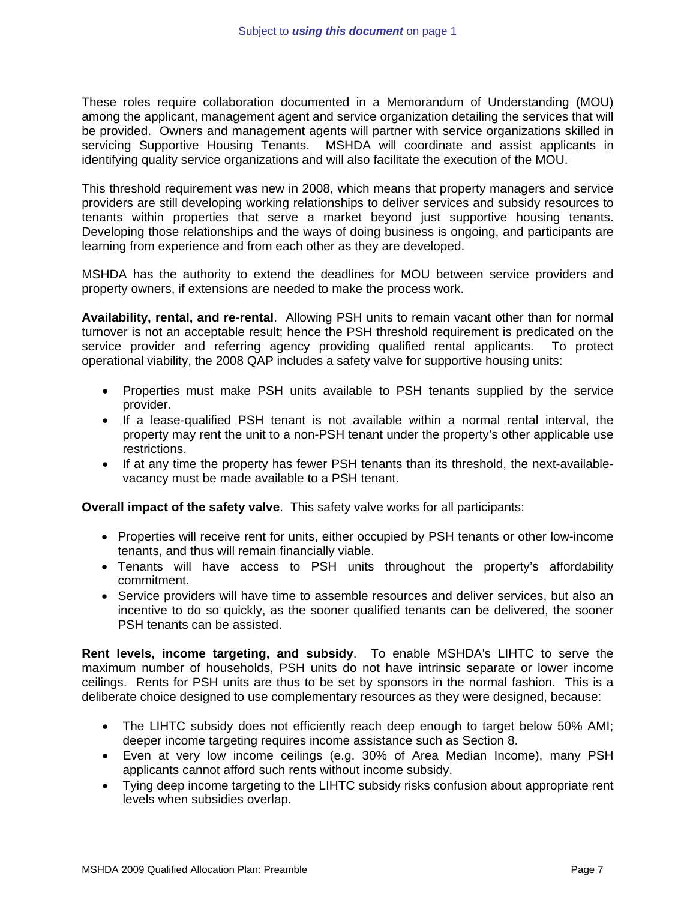These roles require collaboration documented in a Memorandum of Understanding (MOU) among the applicant, management agent and service organization detailing the services that will be provided. Owners and management agents will partner with service organizations skilled in servicing Supportive Housing Tenants. MSHDA will coordinate and assist applicants in identifying quality service organizations and will also facilitate the execution of the MOU.

This threshold requirement was new in 2008, which means that property managers and service providers are still developing working relationships to deliver services and subsidy resources to tenants within properties that serve a market beyond just supportive housing tenants. Developing those relationships and the ways of doing business is ongoing, and participants are learning from experience and from each other as they are developed.

MSHDA has the authority to extend the deadlines for MOU between service providers and property owners, if extensions are needed to make the process work.

**Availability, rental, and re-rental**. Allowing PSH units to remain vacant other than for normal turnover is not an acceptable result; hence the PSH threshold requirement is predicated on the service provider and referring agency providing qualified rental applicants. To protect operational viability, the 2008 QAP includes a safety valve for supportive housing units:

- Properties must make PSH units available to PSH tenants supplied by the service provider.
- If a lease-qualified PSH tenant is not available within a normal rental interval, the property may rent the unit to a non-PSH tenant under the property's other applicable use restrictions.
- If at any time the property has fewer PSH tenants than its threshold, the next-availablevacancy must be made available to a PSH tenant.

**Overall impact of the safety valve**. This safety valve works for all participants:

- Properties will receive rent for units, either occupied by PSH tenants or other low-income tenants, and thus will remain financially viable.
- Tenants will have access to PSH units throughout the property's affordability commitment.
- Service providers will have time to assemble resources and deliver services, but also an incentive to do so quickly, as the sooner qualified tenants can be delivered, the sooner PSH tenants can be assisted.

**Rent levels, income targeting, and subsidy**. To enable MSHDA's LIHTC to serve the maximum number of households, PSH units do not have intrinsic separate or lower income ceilings. Rents for PSH units are thus to be set by sponsors in the normal fashion. This is a deliberate choice designed to use complementary resources as they were designed, because:

- The LIHTC subsidy does not efficiently reach deep enough to target below 50% AMI; deeper income targeting requires income assistance such as Section 8.
- Even at very low income ceilings (e.g. 30% of Area Median Income), many PSH applicants cannot afford such rents without income subsidy.
- Tying deep income targeting to the LIHTC subsidy risks confusion about appropriate rent levels when subsidies overlap.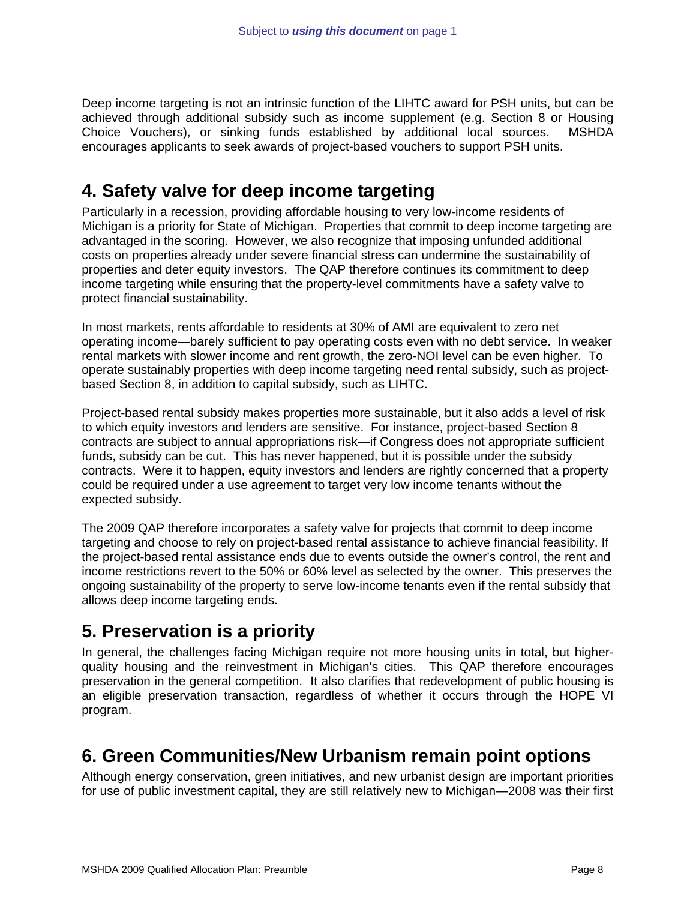Deep income targeting is not an intrinsic function of the LIHTC award for PSH units, but can be achieved through additional subsidy such as income supplement (e.g. Section 8 or Housing Choice Vouchers), or sinking funds established by additional local sources. MSHDA encourages applicants to seek awards of project-based vouchers to support PSH units.

## **4. Safety valve for deep income targeting**

Particularly in a recession, providing affordable housing to very low-income residents of Michigan is a priority for State of Michigan. Properties that commit to deep income targeting are advantaged in the scoring. However, we also recognize that imposing unfunded additional costs on properties already under severe financial stress can undermine the sustainability of properties and deter equity investors. The QAP therefore continues its commitment to deep income targeting while ensuring that the property-level commitments have a safety valve to protect financial sustainability.

In most markets, rents affordable to residents at 30% of AMI are equivalent to zero net operating income—barely sufficient to pay operating costs even with no debt service. In weaker rental markets with slower income and rent growth, the zero-NOI level can be even higher. To operate sustainably properties with deep income targeting need rental subsidy, such as projectbased Section 8, in addition to capital subsidy, such as LIHTC.

Project-based rental subsidy makes properties more sustainable, but it also adds a level of risk to which equity investors and lenders are sensitive. For instance, project-based Section 8 contracts are subject to annual appropriations risk—if Congress does not appropriate sufficient funds, subsidy can be cut. This has never happened, but it is possible under the subsidy contracts. Were it to happen, equity investors and lenders are rightly concerned that a property could be required under a use agreement to target very low income tenants without the expected subsidy.

The 2009 QAP therefore incorporates a safety valve for projects that commit to deep income targeting and choose to rely on project-based rental assistance to achieve financial feasibility. If the project-based rental assistance ends due to events outside the owner's control, the rent and income restrictions revert to the 50% or 60% level as selected by the owner. This preserves the ongoing sustainability of the property to serve low-income tenants even if the rental subsidy that allows deep income targeting ends.

# **5. Preservation is a priority**

In general, the challenges facing Michigan require not more housing units in total, but higherquality housing and the reinvestment in Michigan's cities. This QAP therefore encourages preservation in the general competition. It also clarifies that redevelopment of public housing is an eligible preservation transaction, regardless of whether it occurs through the HOPE VI program.

# **6. Green Communities/New Urbanism remain point options**

Although energy conservation, green initiatives, and new urbanist design are important priorities for use of public investment capital, they are still relatively new to Michigan—2008 was their first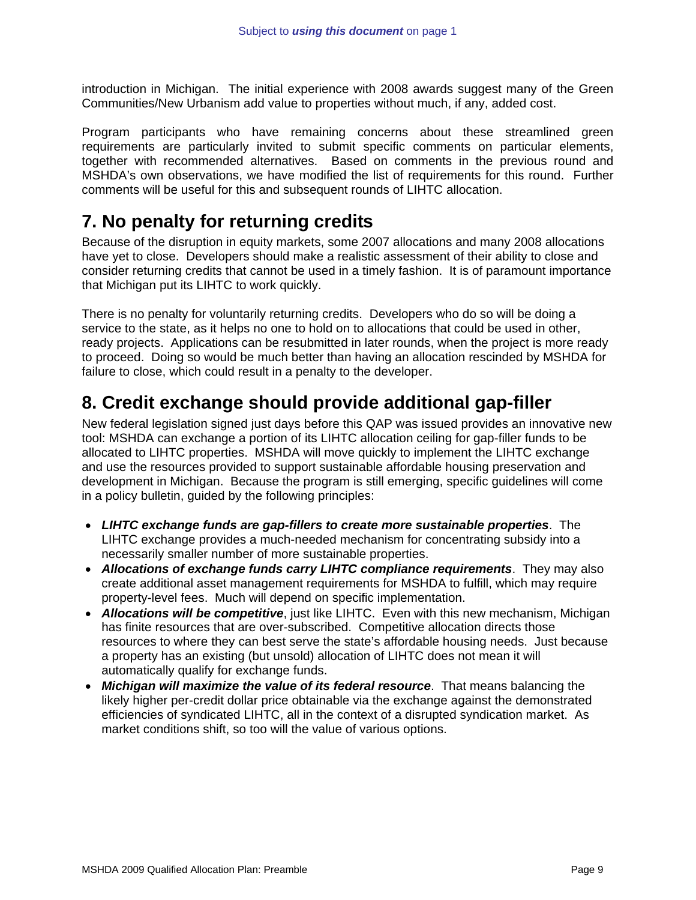introduction in Michigan. The initial experience with 2008 awards suggest many of the Green Communities/New Urbanism add value to properties without much, if any, added cost.

Program participants who have remaining concerns about these streamlined green requirements are particularly invited to submit specific comments on particular elements, together with recommended alternatives. Based on comments in the previous round and MSHDA's own observations, we have modified the list of requirements for this round. Further comments will be useful for this and subsequent rounds of LIHTC allocation.

## **7. No penalty for returning credits**

Because of the disruption in equity markets, some 2007 allocations and many 2008 allocations have yet to close. Developers should make a realistic assessment of their ability to close and consider returning credits that cannot be used in a timely fashion. It is of paramount importance that Michigan put its LIHTC to work quickly.

There is no penalty for voluntarily returning credits. Developers who do so will be doing a service to the state, as it helps no one to hold on to allocations that could be used in other, ready projects. Applications can be resubmitted in later rounds, when the project is more ready to proceed. Doing so would be much better than having an allocation rescinded by MSHDA for failure to close, which could result in a penalty to the developer.

# **8. Credit exchange should provide additional gap-filler**

New federal legislation signed just days before this QAP was issued provides an innovative new tool: MSHDA can exchange a portion of its LIHTC allocation ceiling for gap-filler funds to be allocated to LIHTC properties. MSHDA will move quickly to implement the LIHTC exchange and use the resources provided to support sustainable affordable housing preservation and development in Michigan. Because the program is still emerging, specific guidelines will come in a policy bulletin, guided by the following principles:

- *LIHTC exchange funds are gap-fillers to create more sustainable properties*. The LIHTC exchange provides a much-needed mechanism for concentrating subsidy into a necessarily smaller number of more sustainable properties.
- *Allocations of exchange funds carry LIHTC compliance requirements*. They may also create additional asset management requirements for MSHDA to fulfill, which may require property-level fees. Much will depend on specific implementation.
- *Allocations will be competitive*, just like LIHTC. Even with this new mechanism, Michigan has finite resources that are over-subscribed. Competitive allocation directs those resources to where they can best serve the state's affordable housing needs. Just because a property has an existing (but unsold) allocation of LIHTC does not mean it will automatically qualify for exchange funds.
- *Michigan will maximize the value of its federal resource*. That means balancing the likely higher per-credit dollar price obtainable via the exchange against the demonstrated efficiencies of syndicated LIHTC, all in the context of a disrupted syndication market. As market conditions shift, so too will the value of various options.